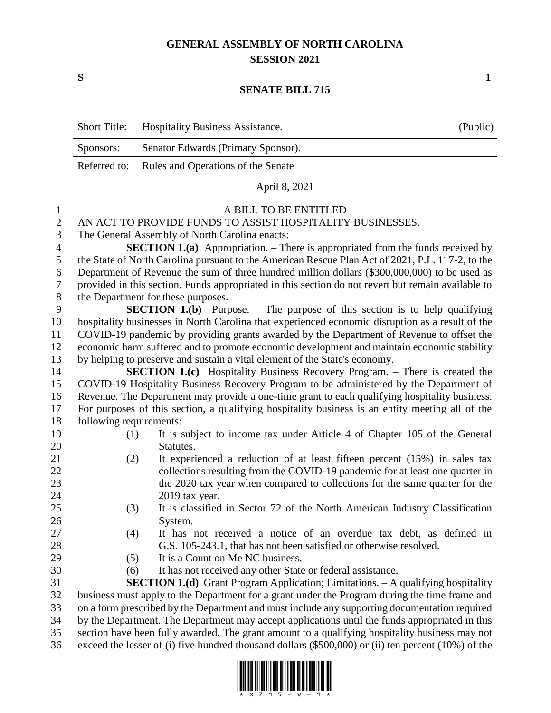## **GENERAL ASSEMBLY OF NORTH CAROLINA SESSION 2021**

**S 1**

## **SENATE BILL 715**

| <b>Short Title:</b> | <b>Hospitality Business Assistance.</b>         | (Public) |
|---------------------|-------------------------------------------------|----------|
| Sponsors:           | Senator Edwards (Primary Sponsor).              |          |
|                     | Referred to: Rules and Operations of the Senate |          |
|                     | April 8, 2021                                   |          |

| $\mathbf{1}$     |                                                                                                     | A BILL TO BE ENTITLED                                                                   |  |  |
|------------------|-----------------------------------------------------------------------------------------------------|-----------------------------------------------------------------------------------------|--|--|
| $\mathbf{2}$     | AN ACT TO PROVIDE FUNDS TO ASSIST HOSPITALITY BUSINESSES.                                           |                                                                                         |  |  |
| 3                |                                                                                                     | The General Assembly of North Carolina enacts:                                          |  |  |
| $\overline{4}$   |                                                                                                     | <b>SECTION 1.(a)</b> Appropriation. – There is appropriated from the funds received by  |  |  |
| 5                | the State of North Carolina pursuant to the American Rescue Plan Act of 2021, P.L. 117-2, to the    |                                                                                         |  |  |
| 6                | Department of Revenue the sum of three hundred million dollars (\$300,000,000) to be used as        |                                                                                         |  |  |
| $\boldsymbol{7}$ | provided in this section. Funds appropriated in this section do not revert but remain available to  |                                                                                         |  |  |
| $8\,$            | the Department for these purposes.                                                                  |                                                                                         |  |  |
| 9                |                                                                                                     | <b>SECTION 1.(b)</b> Purpose. $-$ The purpose of this section is to help qualifying     |  |  |
| 10               | hospitality businesses in North Carolina that experienced economic disruption as a result of the    |                                                                                         |  |  |
| 11               | COVID-19 pandemic by providing grants awarded by the Department of Revenue to offset the            |                                                                                         |  |  |
| 12               | economic harm suffered and to promote economic development and maintain economic stability          |                                                                                         |  |  |
| 13               | by helping to preserve and sustain a vital element of the State's economy.                          |                                                                                         |  |  |
| 14               |                                                                                                     | <b>SECTION 1.(c)</b> Hospitality Business Recovery Program. – There is created the      |  |  |
| 15               |                                                                                                     | COVID-19 Hospitality Business Recovery Program to be administered by the Department of  |  |  |
| 16               | Revenue. The Department may provide a one-time grant to each qualifying hospitality business.       |                                                                                         |  |  |
| 17               | For purposes of this section, a qualifying hospitality business is an entity meeting all of the     |                                                                                         |  |  |
| 18               | following requirements:                                                                             |                                                                                         |  |  |
| 19               | (1)                                                                                                 | It is subject to income tax under Article 4 of Chapter 105 of the General               |  |  |
| 20               |                                                                                                     | Statutes.                                                                               |  |  |
| 21               | (2)                                                                                                 | It experienced a reduction of at least fifteen percent (15%) in sales tax               |  |  |
| 22               |                                                                                                     | collections resulting from the COVID-19 pandemic for at least one quarter in            |  |  |
| 23               |                                                                                                     | the 2020 tax year when compared to collections for the same quarter for the             |  |  |
| 24               |                                                                                                     | 2019 tax year.                                                                          |  |  |
| 25               | (3)                                                                                                 | It is classified in Sector 72 of the North American Industry Classification             |  |  |
| 26               |                                                                                                     | System.                                                                                 |  |  |
| 27               | (4)                                                                                                 | It has not received a notice of an overdue tax debt, as defined in                      |  |  |
| 28               |                                                                                                     | G.S. 105-243.1, that has not been satisfied or otherwise resolved.                      |  |  |
| 29               | (5)                                                                                                 | It is a Count on Me NC business.                                                        |  |  |
| 30               | (6)                                                                                                 | It has not received any other State or federal assistance.                              |  |  |
| 31               |                                                                                                     | <b>SECTION 1.(d)</b> Grant Program Application; Limitations. - A qualifying hospitality |  |  |
| 32               | business must apply to the Department for a grant under the Program during the time frame and       |                                                                                         |  |  |
| 33               | on a form prescribed by the Department and must include any supporting documentation required       |                                                                                         |  |  |
| 34               | by the Department. The Department may accept applications until the funds appropriated in this      |                                                                                         |  |  |
| 35               | section have been fully awarded. The grant amount to a qualifying hospitality business may not      |                                                                                         |  |  |
| 36               | exceed the lesser of (i) five hundred thousand dollars (\$500,000) or (ii) ten percent (10%) of the |                                                                                         |  |  |